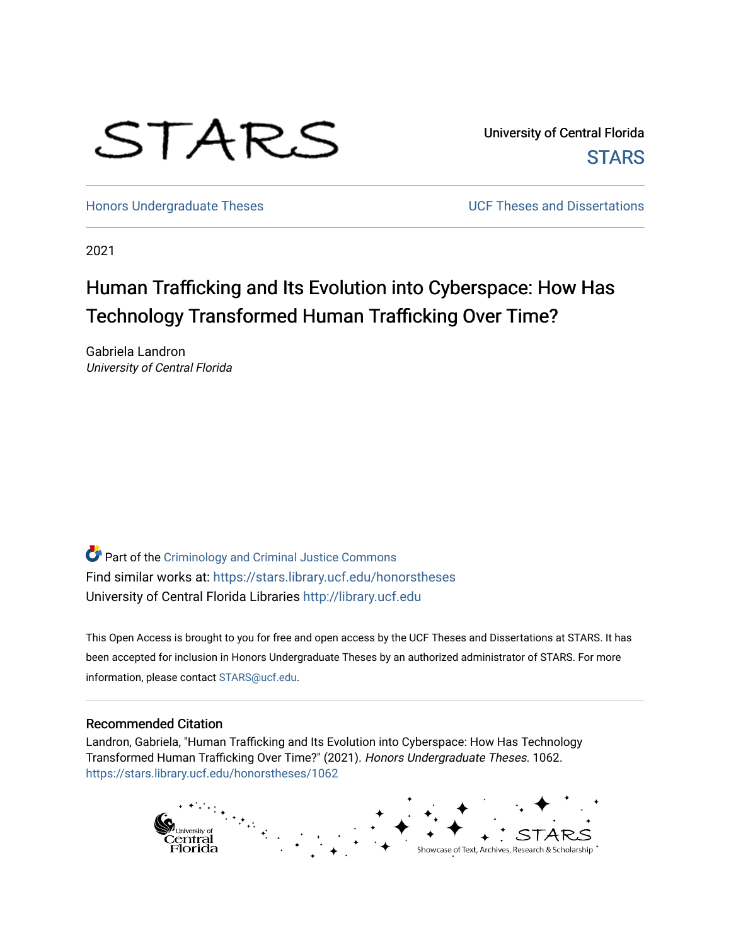

University of Central Florida **STARS** 

[Honors Undergraduate Theses](https://stars.library.ucf.edu/honorstheses) **No. 2018** UCF Theses and Dissertations

2021

# Human Trafficking and Its Evolution into Cyberspace: How Has Technology Transformed Human Trafficking Over Time?

Gabriela Landron University of Central Florida

Part of the [Criminology and Criminal Justice Commons](http://network.bepress.com/hgg/discipline/367?utm_source=stars.library.ucf.edu%2Fhonorstheses%2F1062&utm_medium=PDF&utm_campaign=PDFCoverPages) Find similar works at: <https://stars.library.ucf.edu/honorstheses> University of Central Florida Libraries [http://library.ucf.edu](http://library.ucf.edu/) 

This Open Access is brought to you for free and open access by the UCF Theses and Dissertations at STARS. It has been accepted for inclusion in Honors Undergraduate Theses by an authorized administrator of STARS. For more information, please contact [STARS@ucf.edu.](mailto:STARS@ucf.edu)

#### Recommended Citation

Landron, Gabriela, "Human Trafficking and Its Evolution into Cyberspace: How Has Technology Transformed Human Trafficking Over Time?" (2021). Honors Undergraduate Theses. 1062. [https://stars.library.ucf.edu/honorstheses/1062](https://stars.library.ucf.edu/honorstheses/1062?utm_source=stars.library.ucf.edu%2Fhonorstheses%2F1062&utm_medium=PDF&utm_campaign=PDFCoverPages)

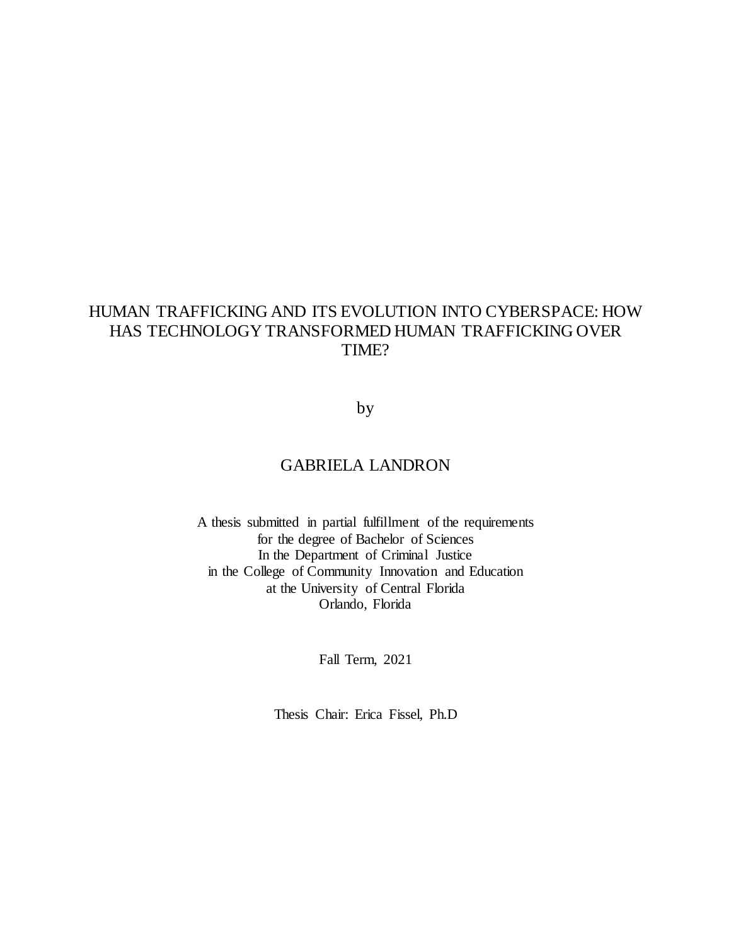## HUMAN TRAFFICKING AND ITS EVOLUTION INTO CYBERSPACE: HOW HAS TECHNOLOGY TRANSFORMED HUMAN TRAFFICKING OVER TIME?

by

## GABRIELA LANDRON

A thesis submitted in partial fulfillment of the requirements for the degree of Bachelor of Sciences In the Department of Criminal Justice in the College of Community Innovation and Education at the University of Central Florida Orlando, Florida

Fall Term, 2021

Thesis Chair: Erica Fissel, Ph.D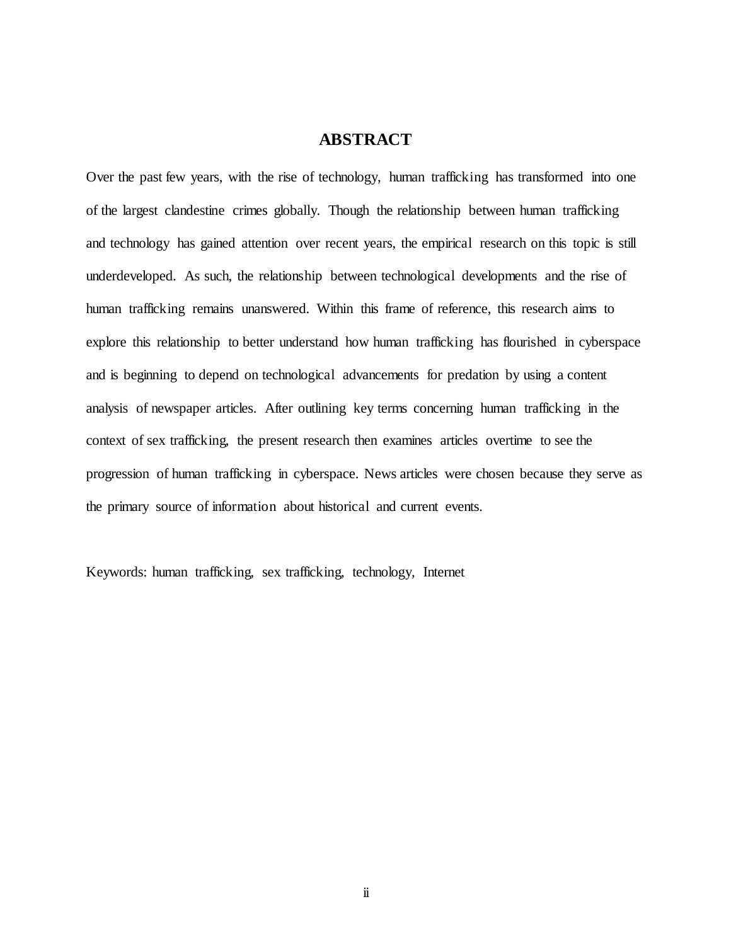## **ABSTRACT**

Over the past few years, with the rise of technology, human trafficking has transformed into one of the largest clandestine crimes globally. Though the relationship between human trafficking and technology has gained attention over recent years, the empirical research on this topic is still underdeveloped. As such, the relationship between technological developments and the rise of human trafficking remains unanswered. Within this frame of reference, this research aims to explore this relationship to better understand how human trafficking has flourished in cyberspace and is beginning to depend on technological advancements for predation by using a content analysis of newspaper articles. After outlining key terms concerning human trafficking in the context of sex trafficking, the present research then examines articles overtime to see the progression of human trafficking in cyberspace. News articles were chosen because they serve as the primary source of information about historical and current events.

Keywords: human trafficking, sex trafficking, technology, Internet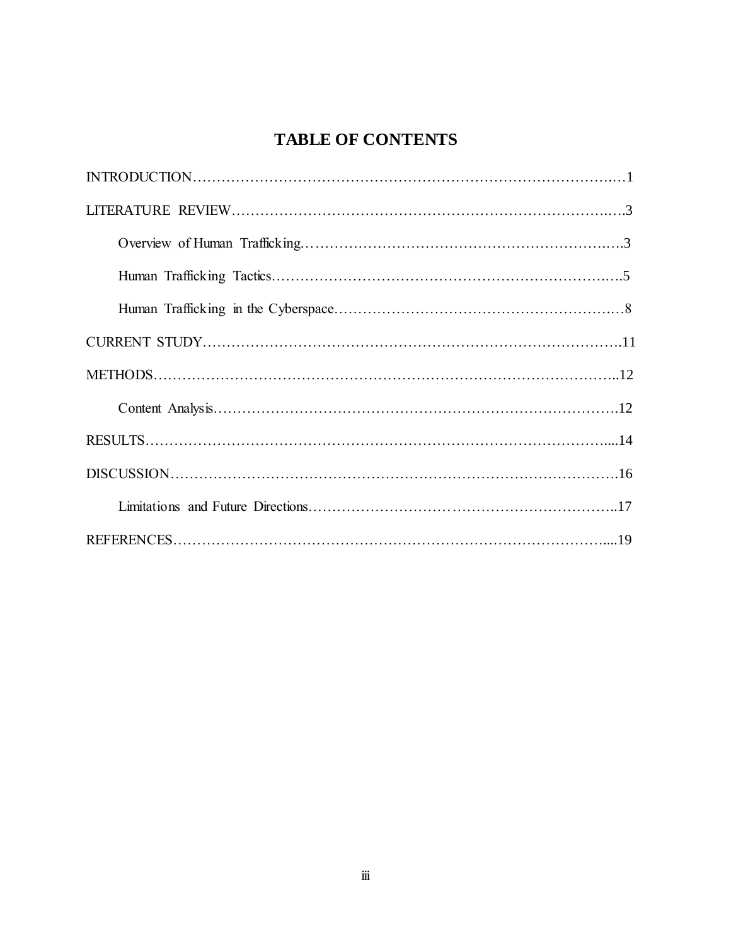## **TABLE OF CONTENTS**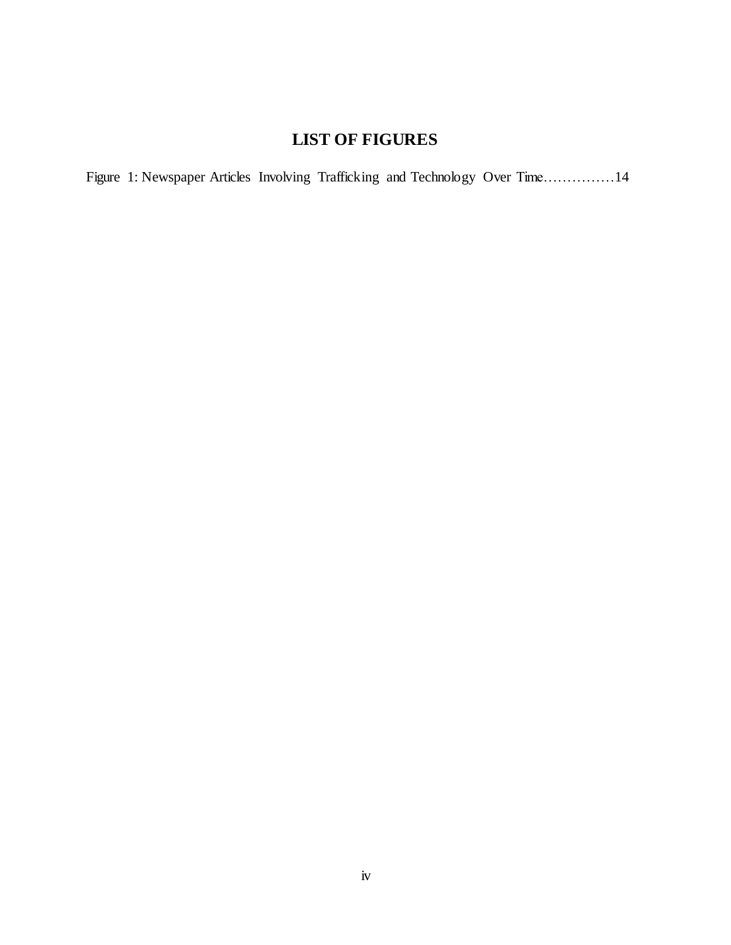## **LIST OF FIGURES**

Figure 1: Newspaper Articles Involving Trafficking and Technology Over Time……………14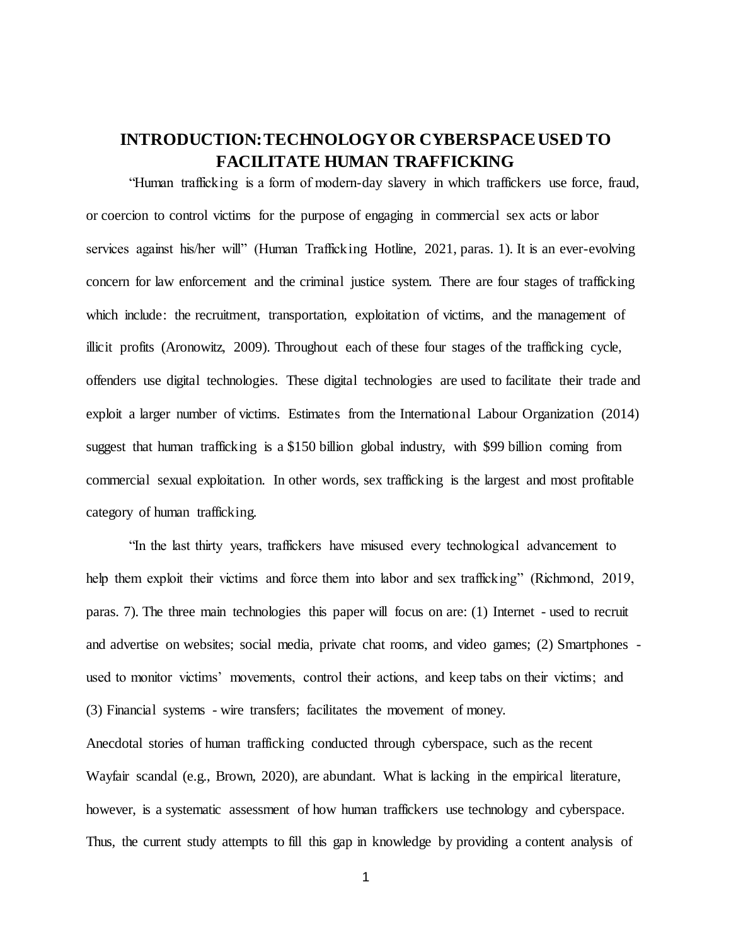## **INTRODUCTION: TECHNOLOGYOR CYBERSPACEUSED TO FACILITATE HUMAN TRAFFICKING**

"Human trafficking is a form of modern-day slavery in which traffickers use force, fraud, or coercion to control victims for the purpose of engaging in commercial sex acts or labor services against his/her will" (Human Trafficking Hotline, 2021, paras. 1). It is an ever-evolving concern for law enforcement and the criminal justice system. There are four stages of trafficking which include: the recruitment, transportation, exploitation of victims, and the management of illicit profits (Aronowitz, 2009). Throughout each of these four stages of the trafficking cycle, offenders use digital technologies. These digital technologies are used to facilitate their trade and exploit a larger number of victims. Estimates from the International Labour Organization (2014) suggest that human trafficking is a \$150 billion global industry, with \$99 billion coming from commercial sexual exploitation. In other words, sex trafficking is the largest and most profitable category of human trafficking.

"In the last thirty years, traffickers have misused every technological advancement to help them exploit their victims and force them into labor and sex trafficking" (Richmond, 2019, paras. 7). The three main technologies this paper will focus on are: (1) Internet - used to recruit and advertise on websites; social media, private chat rooms, and video games; (2) Smartphones used to monitor victims' movements, control their actions, and keep tabs on their victims; and (3) Financial systems - wire transfers; facilitates the movement of money.

Anecdotal stories of human trafficking conducted through cyberspace, such as the recent Wayfair scandal (e.g., Brown, 2020), are abundant. What is lacking in the empirical literature, however, is a systematic assessment of how human traffickers use technology and cyberspace. Thus, the current study attempts to fill this gap in knowledge by providing a content analysis of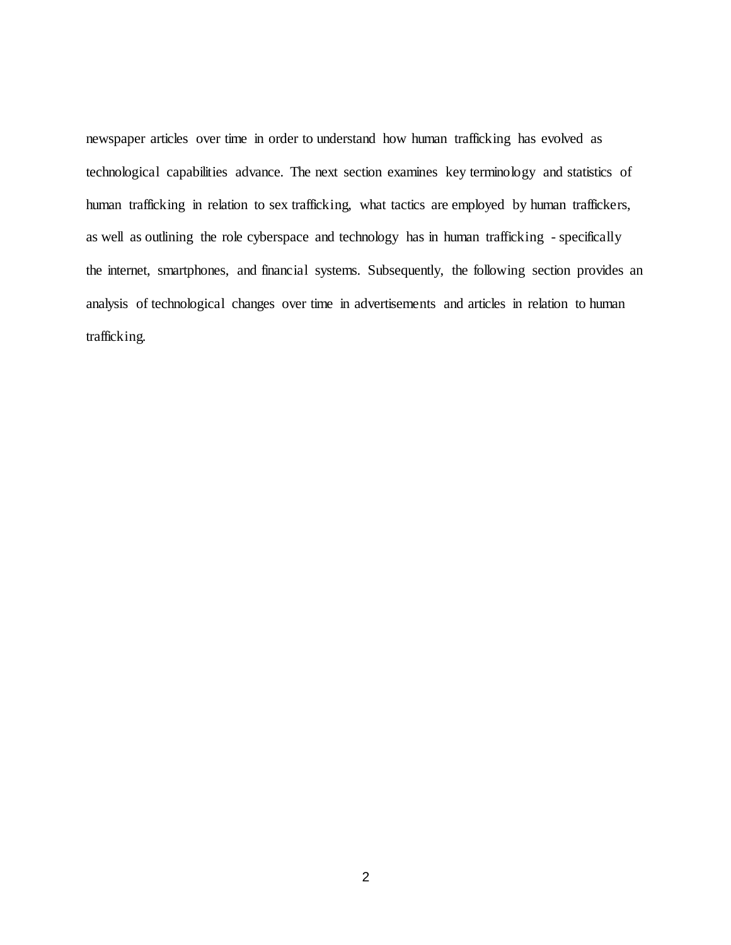newspaper articles over time in order to understand how human trafficking has evolved as technological capabilities advance. The next section examines key terminology and statistics of human trafficking in relation to sex trafficking, what tactics are employed by human traffickers, as well as outlining the role cyberspace and technology has in human trafficking - specifically the internet, smartphones, and financial systems. Subsequently, the following section provides an analysis of technological changes over time in advertisements and articles in relation to human trafficking.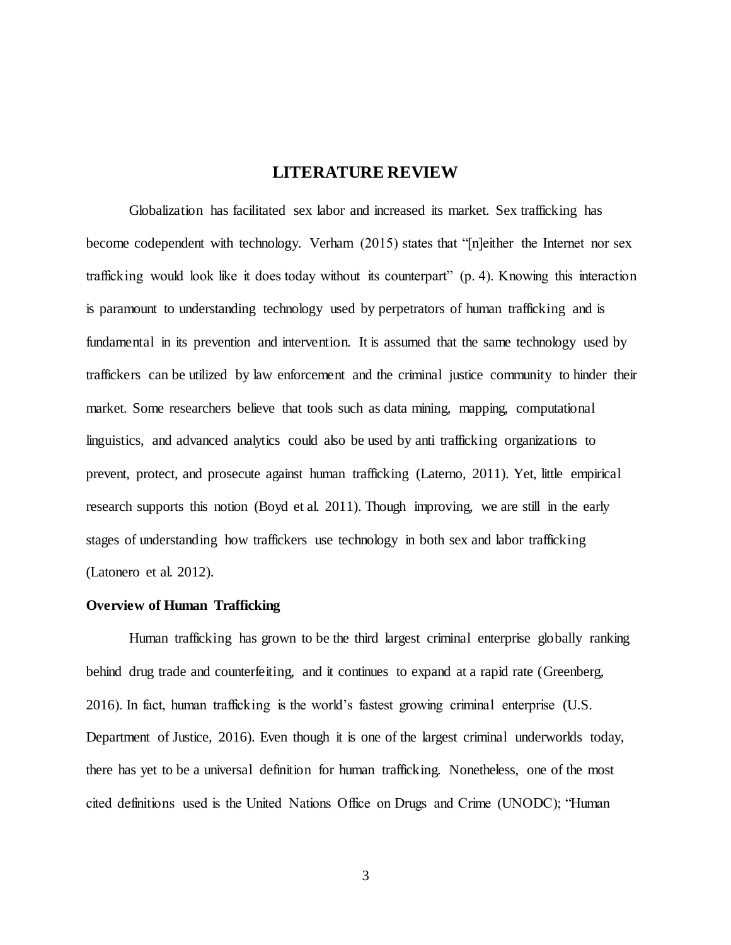## **LITERATURE REVIEW**

Globalization has facilitated sex labor and increased its market. Sex trafficking has become codependent with technology. Verham (2015) states that "[n]either the Internet nor sex trafficking would look like it does today without its counterpart" (p. 4). Knowing this interaction is paramount to understanding technology used by perpetrators of human trafficking and is fundamental in its prevention and intervention. It is assumed that the same technology used by traffickers can be utilized by law enforcement and the criminal justice community to hinder their market. Some researchers believe that tools such as data mining, mapping, computational linguistics, and advanced analytics could also be used by anti trafficking organizations to prevent, protect, and prosecute against human trafficking (Laterno, 2011). Yet, little empirical research supports this notion (Boyd et al. 2011). Though improving, we are still in the early stages of understanding how traffickers use technology in both sex and labor trafficking (Latonero et al. 2012).

#### **Overview of Human Trafficking**

Human trafficking has grown to be the third largest criminal enterprise globally ranking behind drug trade and counterfeiting, and it continues to expand at a rapid rate (Greenberg, 2016). In fact, human trafficking is the world's fastest growing criminal enterprise (U.S. Department of Justice, 2016). Even though it is one of the largest criminal underworlds today, there has yet to be a universal definition for human trafficking. Nonetheless, one of the most cited definitions used is the United Nations Office on Drugs and Crime (UNODC); "Human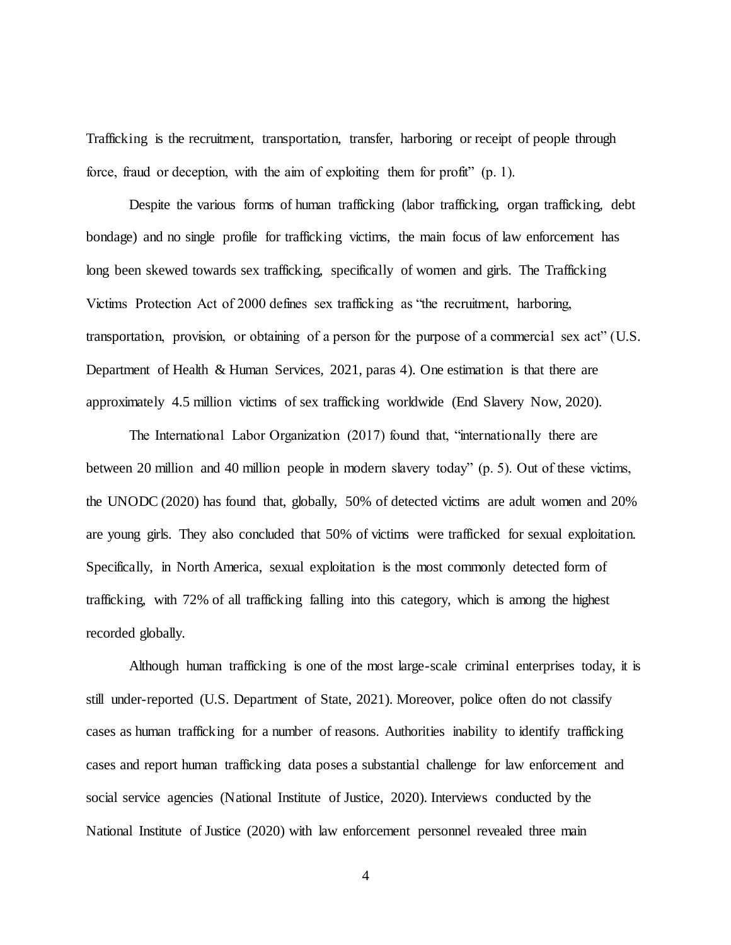Trafficking is the recruitment, transportation, transfer, harboring or receipt of people through force, fraud or deception, with the aim of exploiting them for profit" (p. 1).

Despite the various forms of human trafficking (labor trafficking, organ trafficking, debt bondage) and no single profile for trafficking victims, the main focus of law enforcement has long been skewed towards sex trafficking, specifically of women and girls. The Trafficking Victims Protection Act of 2000 defines sex trafficking as "the recruitment, harboring, transportation, provision, or obtaining of a person for the purpose of a commercial sex act" (U.S. Department of Health & Human Services, 2021, paras 4). One estimation is that there are approximately 4.5 million victims of sex trafficking worldwide (End Slavery Now, 2020).

The International Labor Organization (2017) found that, "internationally there are between 20 million and 40 million people in modern slavery today" (p. 5). Out of these victims, the UNODC (2020) has found that, globally, 50% of detected victims are adult women and 20% are young girls. They also concluded that 50% of victims were trafficked for sexual exploitation. Specifically, in North America, sexual exploitation is the most commonly detected form of trafficking, with 72% of all trafficking falling into this category, which is among the highest recorded globally.

Although human trafficking is one of the most large-scale criminal enterprises today, it is still under-reported (U.S. Department of State, 2021). Moreover, police often do not classify cases as human trafficking for a number of reasons. Authorities inability to identify trafficking cases and report human trafficking data poses a substantial challenge for law enforcement and social service agencies (National Institute of Justice, 2020). Interviews conducted by the National Institute of Justice (2020) with law enforcement personnel revealed three main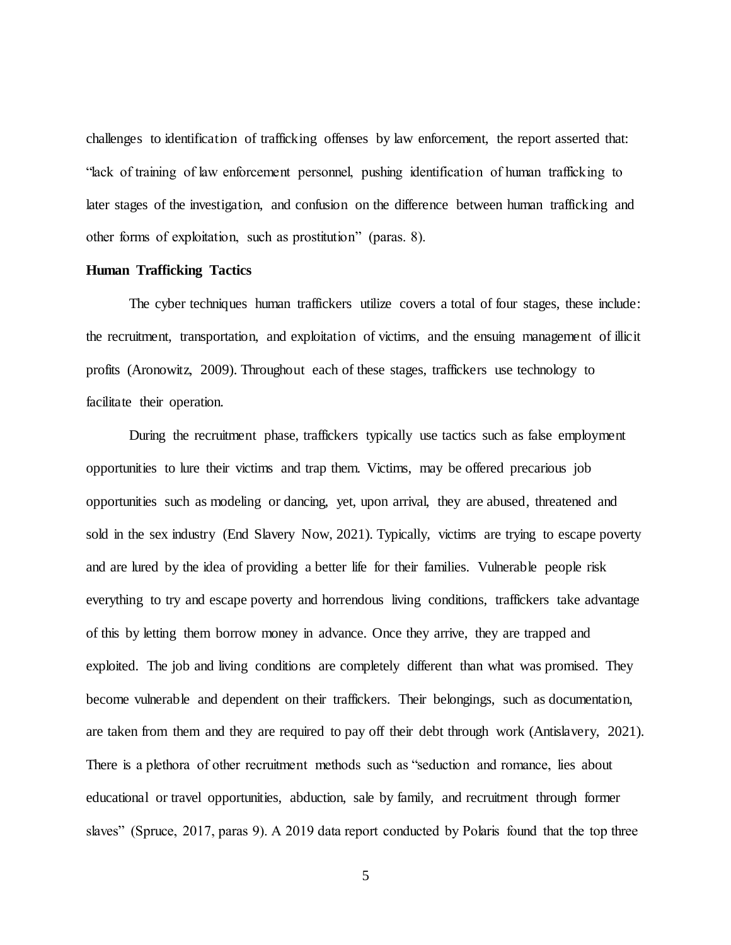challenges to identification of trafficking offenses by law enforcement, the report asserted that: "lack of training of law enforcement personnel, pushing identification of human trafficking to later stages of the investigation, and confusion on the difference between human trafficking and other forms of exploitation, such as prostitution" (paras. 8).

#### **Human Trafficking Tactics**

The cyber techniques human traffickers utilize covers a total of four stages, these include: the recruitment, transportation, and exploitation of victims, and the ensuing management of illicit profits (Aronowitz, 2009). Throughout each of these stages, traffickers use technology to facilitate their operation.

During the recruitment phase, traffickers typically use tactics such as false employment opportunities to lure their victims and trap them. Victims, may be offered precarious job opportunities such as modeling or dancing, yet, upon arrival, they are abused, threatened and sold in the sex industry (End Slavery Now, 2021). Typically, victims are trying to escape poverty and are lured by the idea of providing a better life for their families. Vulnerable people risk everything to try and escape poverty and horrendous living conditions, traffickers take advantage of this by letting them borrow money in advance. Once they arrive, they are trapped and exploited. The job and living conditions are completely different than what was promised. They become vulnerable and dependent on their traffickers. Their belongings, such as documentation, are taken from them and they are required to pay off their debt through work (Antislavery, 2021). There is a plethora of other recruitment methods such as "seduction and romance, lies about educational or travel opportunities, abduction, sale by family, and recruitment through former slaves" (Spruce, 2017, paras 9). A 2019 data report conducted by Polaris found that the top three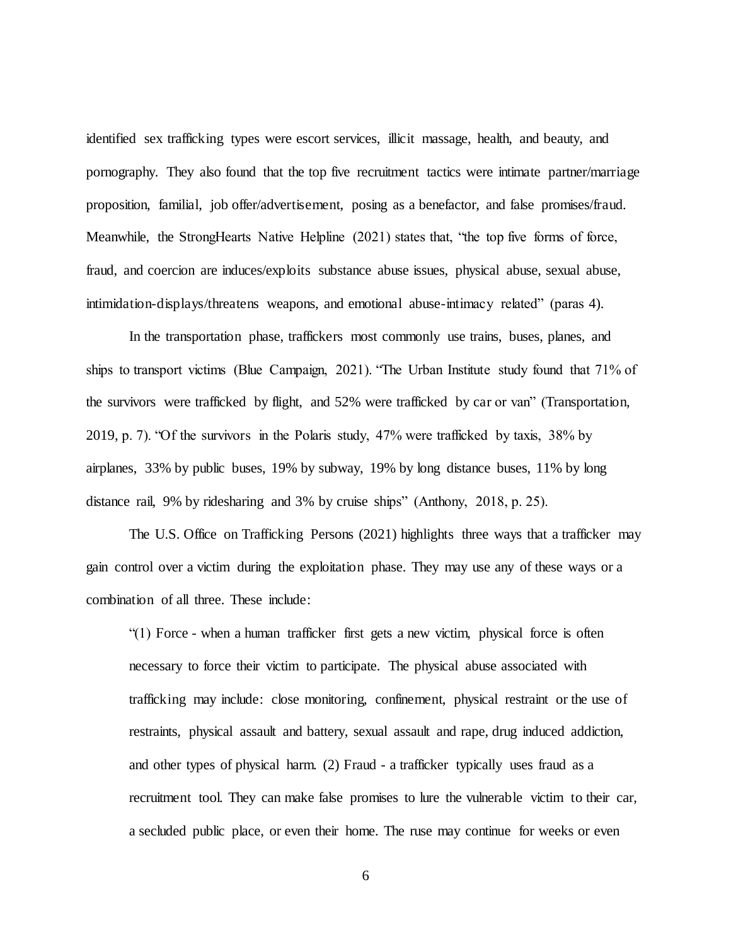identified sex trafficking types were escort services, illicit massage, health, and beauty, and pornography. They also found that the top five recruitment tactics were intimate partner/marriage proposition, familial, job offer/advertisement, posing as a benefactor, and false promises/fraud. Meanwhile, the StrongHearts Native Helpline (2021) states that, "the top five forms of force, fraud, and coercion are induces/exploits substance abuse issues, physical abuse, sexual abuse, intimidation-displays/threatens weapons, and emotional abuse-intimacy related" (paras 4).

In the transportation phase, traffickers most commonly use trains, buses, planes, and ships to transport victims (Blue Campaign, 2021). "The Urban Institute study found that 71% of the survivors were trafficked by flight, and 52% were trafficked by car or van" (Transportation, 2019, p. 7). "Of the survivors in the Polaris study, 47% were trafficked by taxis, 38% by airplanes, 33% by public buses, 19% by subway, 19% by long distance buses, 11% by long distance rail, 9% by ridesharing and 3% by cruise ships" (Anthony, 2018, p. 25).

The U.S. Office on Trafficking Persons (2021) highlights three ways that a trafficker may gain control over a victim during the exploitation phase. They may use any of these ways or a combination of all three. These include:

"(1) Force - when a human trafficker first gets a new victim, physical force is often necessary to force their victim to participate. The physical abuse associated with trafficking may include: close monitoring, confinement, physical restraint or the use of restraints, physical assault and battery, sexual assault and rape, drug induced addiction, and other types of physical harm. (2) Fraud - a trafficker typically uses fraud as a recruitment tool. They can make false promises to lure the vulnerable victim to their car, a secluded public place, or even their home. The ruse may continue for weeks or even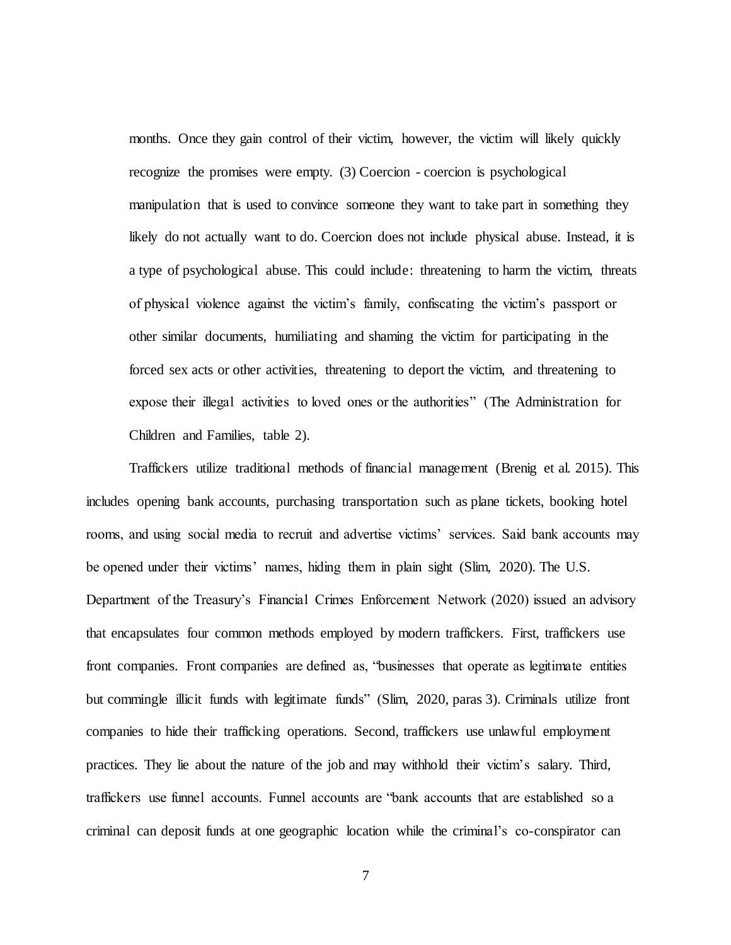months. Once they gain control of their victim, however, the victim will likely quickly recognize the promises were empty. (3) Coercion - coercion is psychological manipulation that is used to convince someone they want to take part in something they likely do not actually want to do. Coercion does not include physical abuse. Instead, it is a type of psychological abuse. This could include: threatening to harm the victim, threats of physical violence against the victim's family, confiscating the victim's passport or other similar documents, humiliating and shaming the victim for participating in the forced sex acts or other activities, threatening to deport the victim, and threatening to expose their illegal activities to loved ones or the authorities" (The Administration for Children and Families, table 2).

Traffickers utilize traditional methods of financial management (Brenig et al. 2015). This includes opening bank accounts, purchasing transportation such as plane tickets, booking hotel rooms, and using social media to recruit and advertise victims' services. Said bank accounts may be opened under their victims' names, hiding them in plain sight (Slim, 2020). The U.S. Department of the Treasury's Financial Crimes Enforcement Network (2020) issued an advisory that encapsulates four common methods employed by modern traffickers. First, traffickers use front companies. Front companies are defined as, "businesses that operate as legitimate entities but commingle illicit funds with legitimate funds" (Slim, 2020, paras 3). Criminals utilize front companies to hide their trafficking operations. Second, traffickers use unlawful employment practices. They lie about the nature of the job and may withhold their victim's salary. Third, traffickers use funnel accounts. Funnel accounts are "bank accounts that are established so a criminal can deposit funds at one geographic location while the criminal's co-conspirator can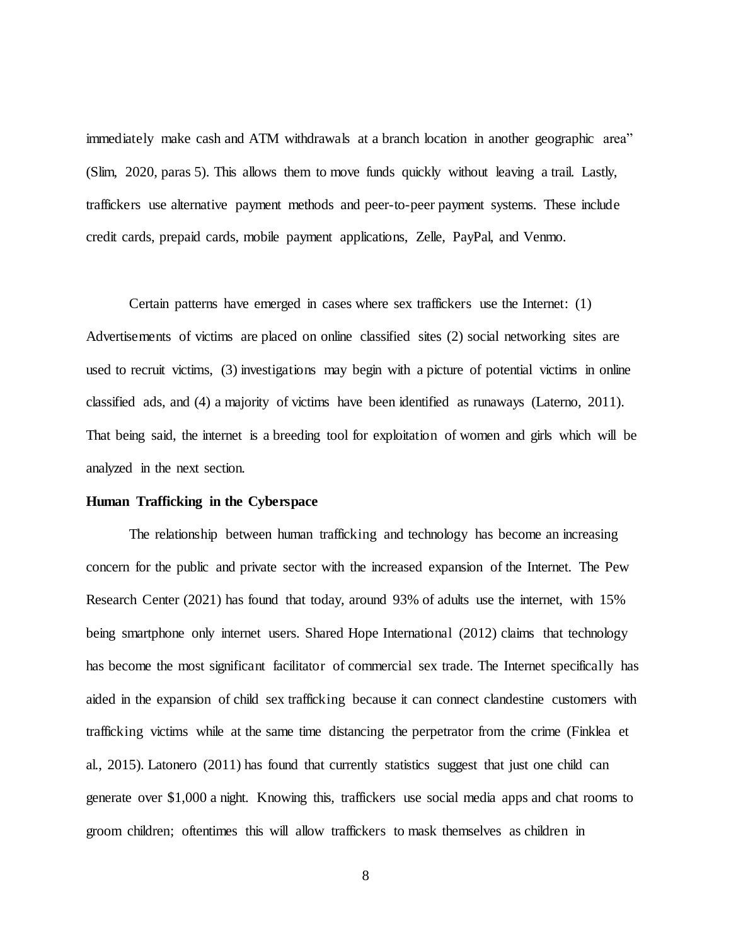immediately make cash and ATM withdrawals at a branch location in another geographic area" (Slim, 2020, paras 5). This allows them to move funds quickly without leaving a trail. Lastly, traffickers use alternative payment methods and peer-to-peer payment systems. These include credit cards, prepaid cards, mobile payment applications, Zelle, PayPal, and Venmo.

Certain patterns have emerged in cases where sex traffickers use the Internet: (1) Advertisements of victims are placed on online classified sites (2) social networking sites are used to recruit victims, (3) investigations may begin with a picture of potential victims in online classified ads, and (4) a majority of victims have been identified as runaways (Laterno, 2011). That being said, the internet is a breeding tool for exploitation of women and girls which will be analyzed in the next section.

#### **Human Trafficking in the Cyberspace**

The relationship between human trafficking and technology has become an increasing concern for the public and private sector with the increased expansion of the Internet. The Pew Research Center (2021) has found that today, around 93% of adults use the internet, with 15% being smartphone only internet users. Shared Hope International (2012) claims that technology has become the most significant facilitator of commercial sex trade. The Internet specifically has aided in the expansion of child sex trafficking because it can connect clandestine customers with trafficking victims while at the same time distancing the perpetrator from the crime (Finklea et al., 2015). Latonero (2011) has found that currently statistics suggest that just one child can generate over \$1,000 a night. Knowing this, traffickers use social media apps and chat rooms to groom children; oftentimes this will allow traffickers to mask themselves as children in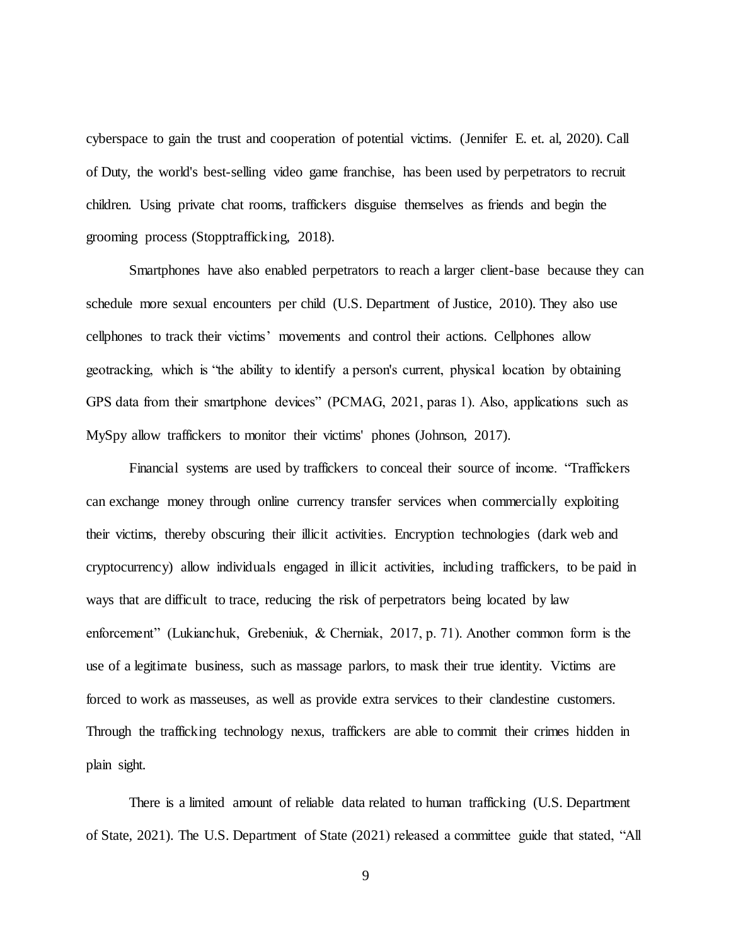cyberspace to gain the trust and cooperation of potential victims. (Jennifer E. et. al, 2020). Call of Duty, the world's best-selling video game franchise, has been used by perpetrators to recruit children. Using private chat rooms, traffickers disguise themselves as friends and begin the grooming process (Stopptrafficking, 2018).

Smartphones have also enabled perpetrators to reach a larger client-base because they can schedule more sexual encounters per child (U.S. Department of Justice, 2010). They also use cellphones to track their victims' movements and control their actions. Cellphones allow geotracking, which is "the ability to identify a person's current, physical location by obtaining GPS data from their smartphone devices" (PCMAG, 2021, paras 1). Also, applications such as MySpy allow traffickers to monitor their victims' phones (Johnson, 2017).

Financial systems are used by traffickers to conceal their source of income. "Traffickers can exchange money through online currency transfer services when commercially exploiting their victims, thereby obscuring their illicit activities. Encryption technologies (dark web and cryptocurrency) allow individuals engaged in illicit activities, including traffickers, to be paid in ways that are difficult to trace, reducing the risk of perpetrators being located by law enforcement" (Lukianchuk, Grebeniuk, & Cherniak, 2017, p. 71). Another common form is the use of a legitimate business, such as massage parlors, to mask their true identity. Victims are forced to work as masseuses, as well as provide extra services to their clandestine customers. Through the trafficking technology nexus, traffickers are able to commit their crimes hidden in plain sight.

There is a limited amount of reliable data related to human trafficking (U.S. Department of State, 2021). The U.S. Department of State (2021) released a committee guide that stated, "All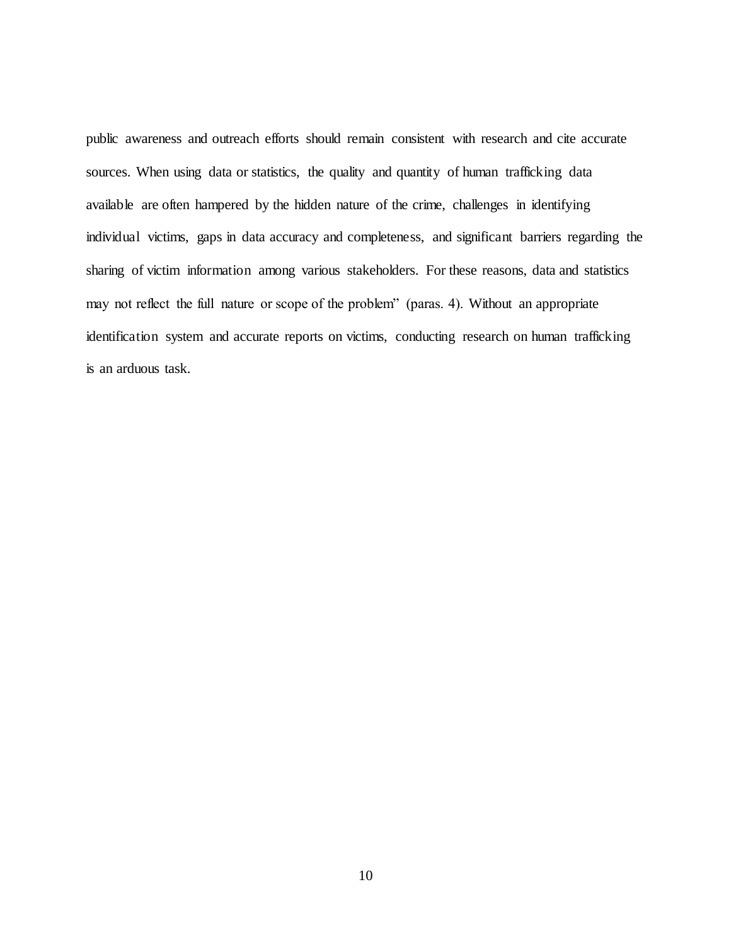public awareness and outreach efforts should remain consistent with research and cite accurate sources. When using data or statistics, the quality and quantity of human trafficking data available are often hampered by the hidden nature of the crime, challenges in identifying individual victims, gaps in data accuracy and completeness, and significant barriers regarding the sharing of victim information among various stakeholders. For these reasons, data and statistics may not reflect the full nature or scope of the problem" (paras. 4). Without an appropriate identification system and accurate reports on victims, conducting research on human trafficking is an arduous task.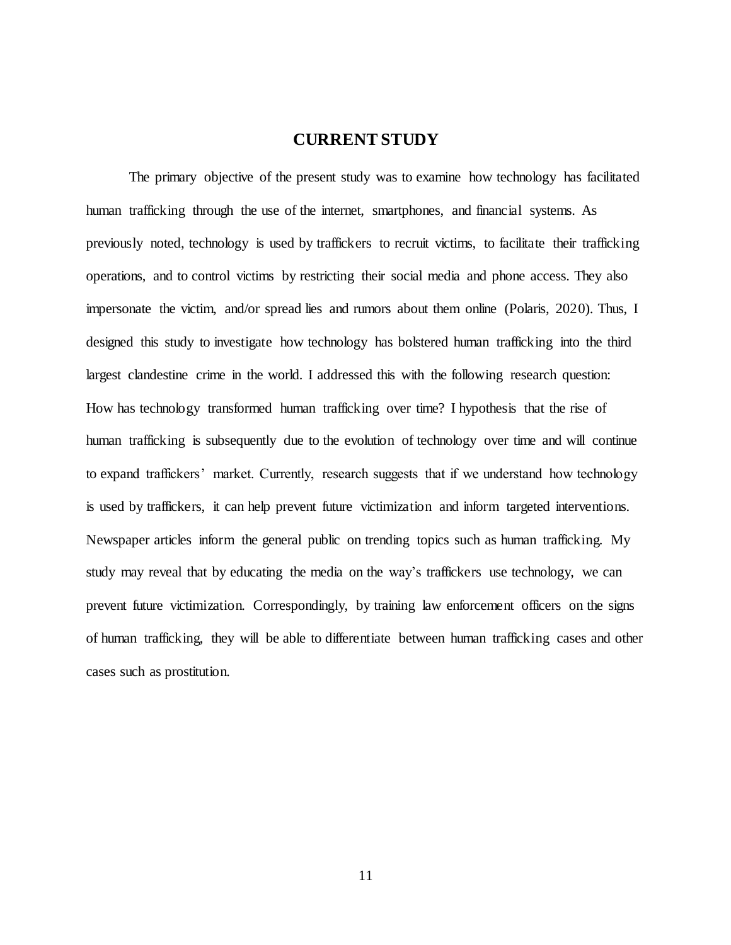### **CURRENT STUDY**

The primary objective of the present study was to examine how technology has facilitated human trafficking through the use of the internet, smartphones, and financial systems. As previously noted, technology is used by traffickers to recruit victims, to facilitate their trafficking operations, and to control victims by restricting their social media and phone access. They also impersonate the victim, and/or spread lies and rumors about them online (Polaris, 2020). Thus, I designed this study to investigate how technology has bolstered human trafficking into the third largest clandestine crime in the world. I addressed this with the following research question: How has technology transformed human trafficking over time? I hypothesis that the rise of human trafficking is subsequently due to the evolution of technology over time and will continue to expand traffickers' market. Currently, research suggests that if we understand how technology is used by traffickers, it can help prevent future victimization and inform targeted interventions. Newspaper articles inform the general public on trending topics such as human trafficking. My study may reveal that by educating the media on the way's traffickers use technology, we can prevent future victimization. Correspondingly, by training law enforcement officers on the signs of human trafficking, they will be able to differentiate between human trafficking cases and other cases such as prostitution.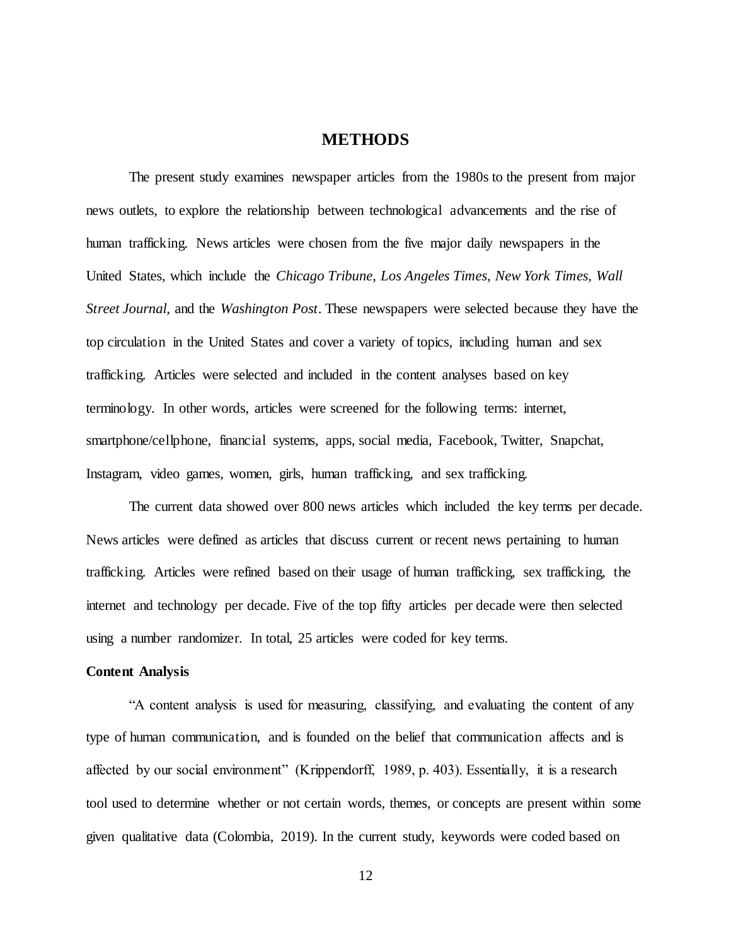### **METHODS**

The present study examines newspaper articles from the 1980s to the present from major news outlets, to explore the relationship between technological advancements and the rise of human trafficking. News articles were chosen from the five major daily newspapers in the United States, which include the *Chicago Tribune, Los Angeles Times, New York Times, Wall Street Journal,* and the *Washington Post*. These newspapers were selected because they have the top circulation in the United States and cover a variety of topics, including human and sex trafficking. Articles were selected and included in the content analyses based on key terminology. In other words, articles were screened for the following terms: internet, smartphone/cellphone, financial systems, apps, social media, Facebook, Twitter, Snapchat, Instagram, video games, women, girls, human trafficking, and sex trafficking.

The current data showed over 800 news articles which included the key terms per decade. News articles were defined as articles that discuss current or recent news pertaining to human trafficking. Articles were refined based on their usage of human trafficking, sex trafficking, the internet and technology per decade. Five of the top fifty articles per decade were then selected using a number randomizer. In total, 25 articles were coded for key terms.

#### **Content Analysis**

"A content analysis is used for measuring, classifying, and evaluating the content of any type of human communication, and is founded on the belief that communication affects and is affected by our social environment" (Krippendorff, 1989, p. 403). Essentially, it is a research tool used to determine whether or not certain words, themes, or concepts are present within some given qualitative data (Colombia, 2019). In the current study, keywords were coded based on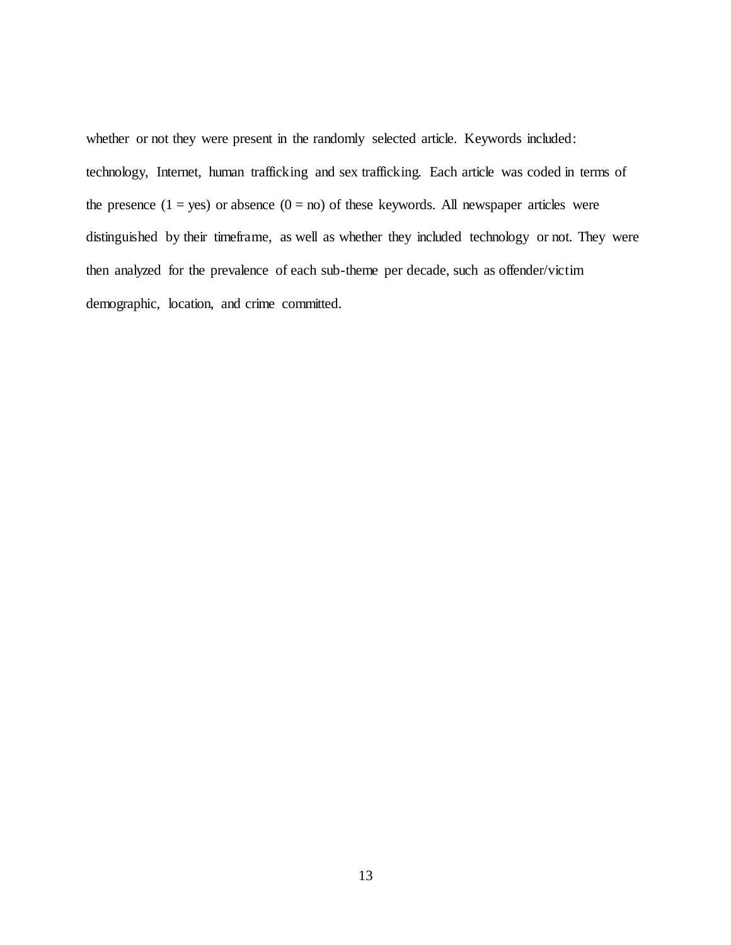whether or not they were present in the randomly selected article. Keywords included: technology, Internet, human trafficking and sex trafficking. Each article was coded in terms of the presence  $(1 = yes)$  or absence  $(0 = no)$  of these keywords. All newspaper articles were distinguished by their timeframe, as well as whether they included technology or not. They were then analyzed for the prevalence of each sub-theme per decade, such as offender/victim demographic, location, and crime committed.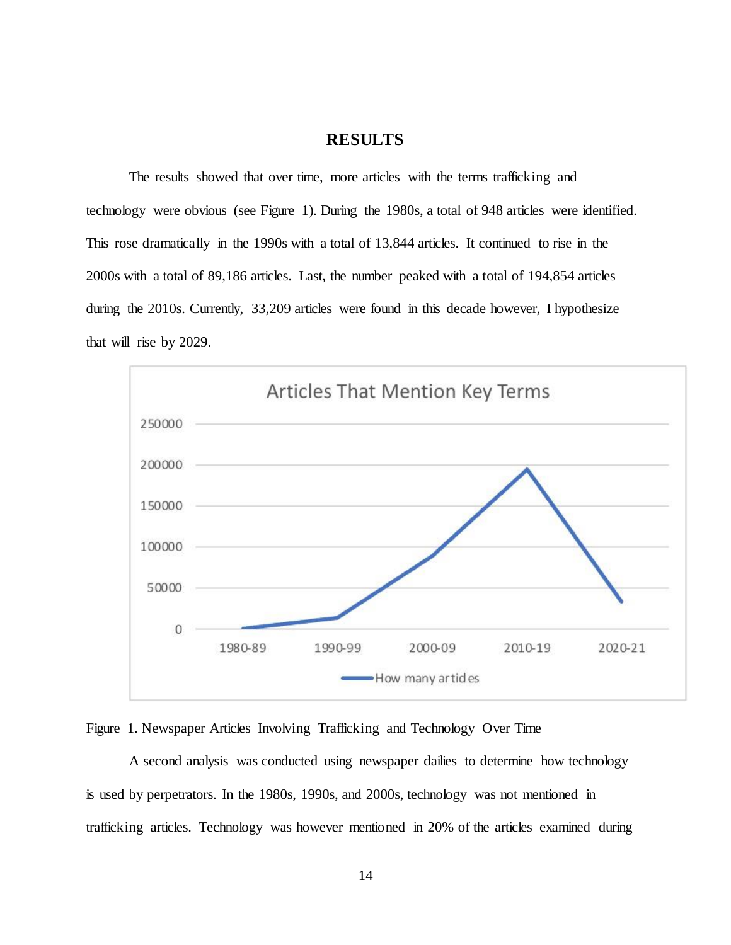## **RESULTS**

The results showed that over time, more articles with the terms trafficking and technology were obvious (see Figure 1). During the 1980s, a total of 948 articles were identified. This rose dramatically in the 1990s with a total of 13,844 articles. It continued to rise in the 2000s with a total of 89,186 articles. Last, the number peaked with a total of 194,854 articles during the 2010s. Currently, 33,209 articles were found in this decade however, I hypothesize that will rise by 2029.



Figure 1. Newspaper Articles Involving Trafficking and Technology Over Time

A second analysis was conducted using newspaper dailies to determine how technology is used by perpetrators. In the 1980s, 1990s, and 2000s, technology was not mentioned in trafficking articles. Technology was however mentioned in 20% of the articles examined during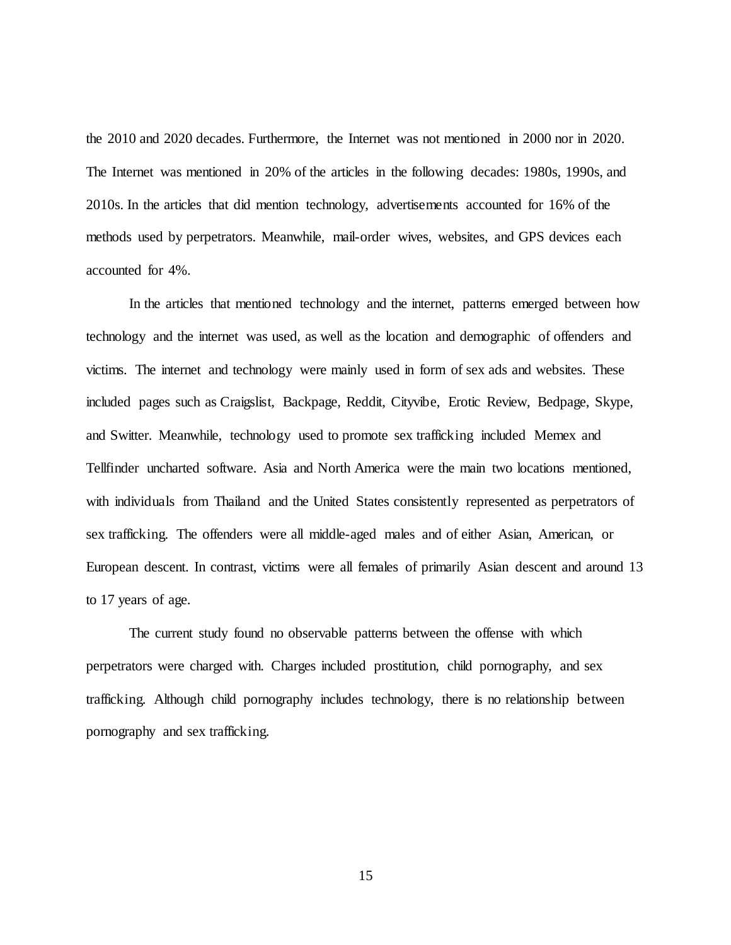the 2010 and 2020 decades. Furthermore, the Internet was not mentioned in 2000 nor in 2020. The Internet was mentioned in 20% of the articles in the following decades: 1980s, 1990s, and 2010s. In the articles that did mention technology, advertisements accounted for 16% of the methods used by perpetrators. Meanwhile, mail-order wives, websites, and GPS devices each accounted for 4%.

In the articles that mentioned technology and the internet, patterns emerged between how technology and the internet was used, as well as the location and demographic of offenders and victims. The internet and technology were mainly used in form of sex ads and websites. These included pages such as Craigslist, Backpage, Reddit, Cityvibe, Erotic Review, Bedpage, Skype, and Switter. Meanwhile, technology used to promote sex trafficking included Memex and Tellfinder uncharted software. Asia and North America were the main two locations mentioned, with individuals from Thailand and the United States consistently represented as perpetrators of sex trafficking. The offenders were all middle-aged males and of either Asian, American, or European descent. In contrast, victims were all females of primarily Asian descent and around 13 to 17 years of age.

The current study found no observable patterns between the offense with which perpetrators were charged with. Charges included prostitution, child pornography, and sex trafficking. Although child pornography includes technology, there is no relationship between pornography and sex trafficking.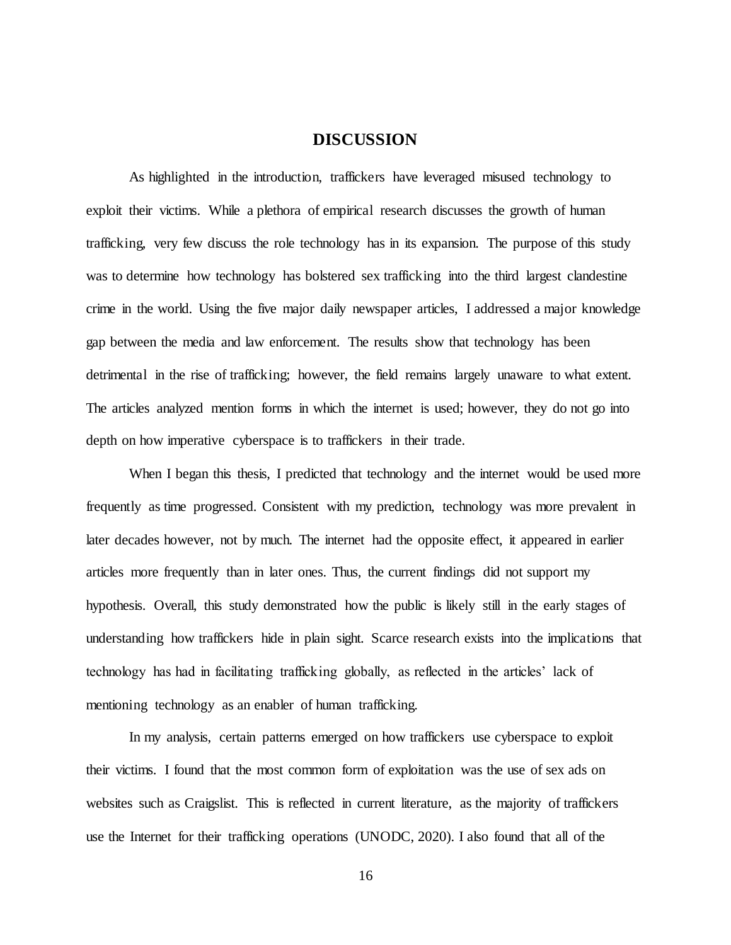### **DISCUSSION**

As highlighted in the introduction, traffickers have leveraged misused technology to exploit their victims. While a plethora of empirical research discusses the growth of human trafficking, very few discuss the role technology has in its expansion. The purpose of this study was to determine how technology has bolstered sex trafficking into the third largest clandestine crime in the world. Using the five major daily newspaper articles, I addressed a major knowledge gap between the media and law enforcement. The results show that technology has been detrimental in the rise of trafficking; however, the field remains largely unaware to what extent. The articles analyzed mention forms in which the internet is used; however, they do not go into depth on how imperative cyberspace is to traffickers in their trade.

When I began this thesis, I predicted that technology and the internet would be used more frequently as time progressed. Consistent with my prediction, technology was more prevalent in later decades however, not by much. The internet had the opposite effect, it appeared in earlier articles more frequently than in later ones. Thus, the current findings did not support my hypothesis. Overall, this study demonstrated how the public is likely still in the early stages of understanding how traffickers hide in plain sight. Scarce research exists into the implications that technology has had in facilitating trafficking globally, as reflected in the articles' lack of mentioning technology as an enabler of human trafficking.

In my analysis, certain patterns emerged on how traffickers use cyberspace to exploit their victims. I found that the most common form of exploitation was the use of sex ads on websites such as Craigslist. This is reflected in current literature, as the majority of traffickers use the Internet for their trafficking operations (UNODC, 2020). I also found that all of the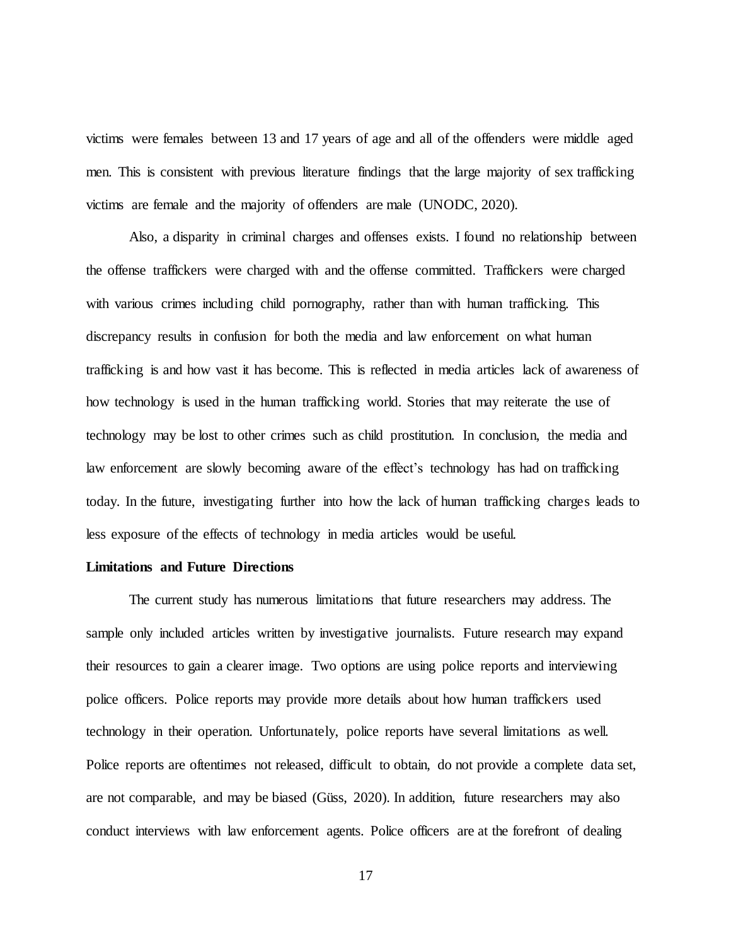victims were females between 13 and 17 years of age and all of the offenders were middle aged men. This is consistent with previous literature findings that the large majority of sex trafficking victims are female and the majority of offenders are male (UNODC, 2020).

Also, a disparity in criminal charges and offenses exists. I found no relationship between the offense traffickers were charged with and the offense committed. Traffickers were charged with various crimes including child pornography, rather than with human trafficking. This discrepancy results in confusion for both the media and law enforcement on what human trafficking is and how vast it has become. This is reflected in media articles lack of awareness of how technology is used in the human trafficking world. Stories that may reiterate the use of technology may be lost to other crimes such as child prostitution. In conclusion, the media and law enforcement are slowly becoming aware of the effect's technology has had on trafficking today. In the future, investigating further into how the lack of human trafficking charges leads to less exposure of the effects of technology in media articles would be useful.

#### **Limitations and Future Directions**

The current study has numerous limitations that future researchers may address. The sample only included articles written by investigative journalists. Future research may expand their resources to gain a clearer image. Two options are using police reports and interviewing police officers. Police reports may provide more details about how human traffickers used technology in their operation. Unfortunately, police reports have several limitations as well. Police reports are oftentimes not released, difficult to obtain, do not provide a complete data set, are not comparable, and may be biased (Güss, 2020). In addition, future researchers may also conduct interviews with law enforcement agents. Police officers are at the forefront of dealing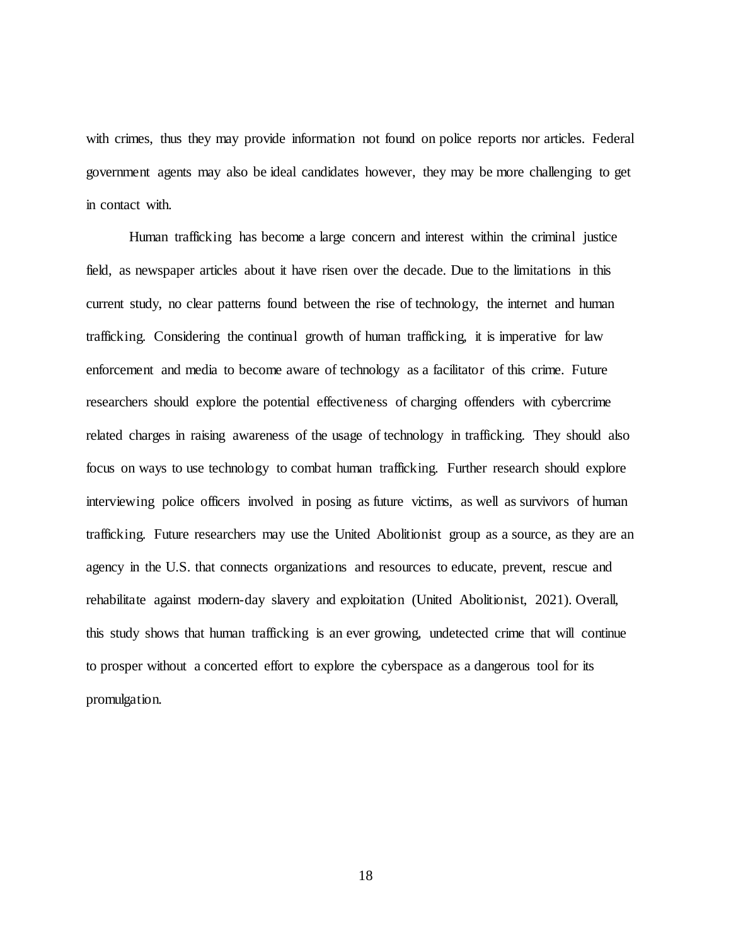with crimes, thus they may provide information not found on police reports nor articles. Federal government agents may also be ideal candidates however, they may be more challenging to get in contact with.

Human trafficking has become a large concern and interest within the criminal justice field, as newspaper articles about it have risen over the decade. Due to the limitations in this current study, no clear patterns found between the rise of technology, the internet and human trafficking. Considering the continual growth of human trafficking, it is imperative for law enforcement and media to become aware of technology as a facilitator of this crime. Future researchers should explore the potential effectiveness of charging offenders with cybercrime related charges in raising awareness of the usage of technology in trafficking. They should also focus on ways to use technology to combat human trafficking. Further research should explore interviewing police officers involved in posing as future victims, as well as survivors of human trafficking. Future researchers may use the United Abolitionist group as a source, as they are an agency in the U.S. that connects organizations and resources to educate, prevent, rescue and rehabilitate against modern-day slavery and exploitation (United Abolitionist, 2021). Overall, this study shows that human trafficking is an ever growing, undetected crime that will continue to prosper without a concerted effort to explore the cyberspace as a dangerous tool for its promulgation.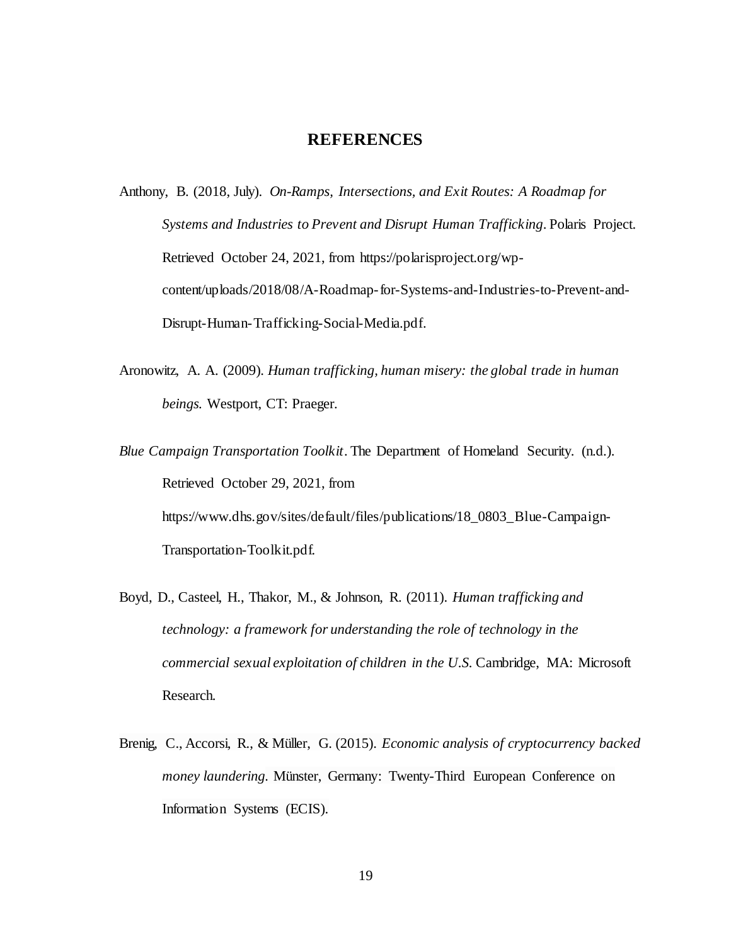### **REFERENCES**

- Anthony, B. (2018, July). *On-Ramps, Intersections, and Exit Routes: A Roadmap for Systems and Industries to Prevent and Disrupt Human Trafficking*. Polaris Project. Retrieved October 24, 2021, from https://polarisproject.org/wpcontent/uploads/2018/08/A-Roadmap-for-Systems-and-Industries-to-Prevent-and-Disrupt-Human-Trafficking-Social-Media.pdf.
- Aronowitz, A. A. (2009). *Human trafficking, human misery: the global trade in human beings.* Westport, CT: Praeger.
- *Blue Campaign Transportation Toolkit*. The Department of Homeland Security. (n.d.). Retrieved October 29, 2021, from https://www.dhs.gov/sites/default/files/publications/18\_0803\_Blue-Campaign-Transportation-Toolkit.pdf.
- Boyd, D., Casteel, H., Thakor, M., & Johnson, R. (2011). *Human trafficking and technology: a framework for understanding the role of technology in the commercial sexual exploitation of children in the U.S.* Cambridge, MA: Microsoft Research.
- Brenig, C., Accorsi, R., & Müller, G. (2015). *Economic analysis of cryptocurrency backed money laundering.* Münster, Germany: Twenty-Third European Conference on Information Systems (ECIS).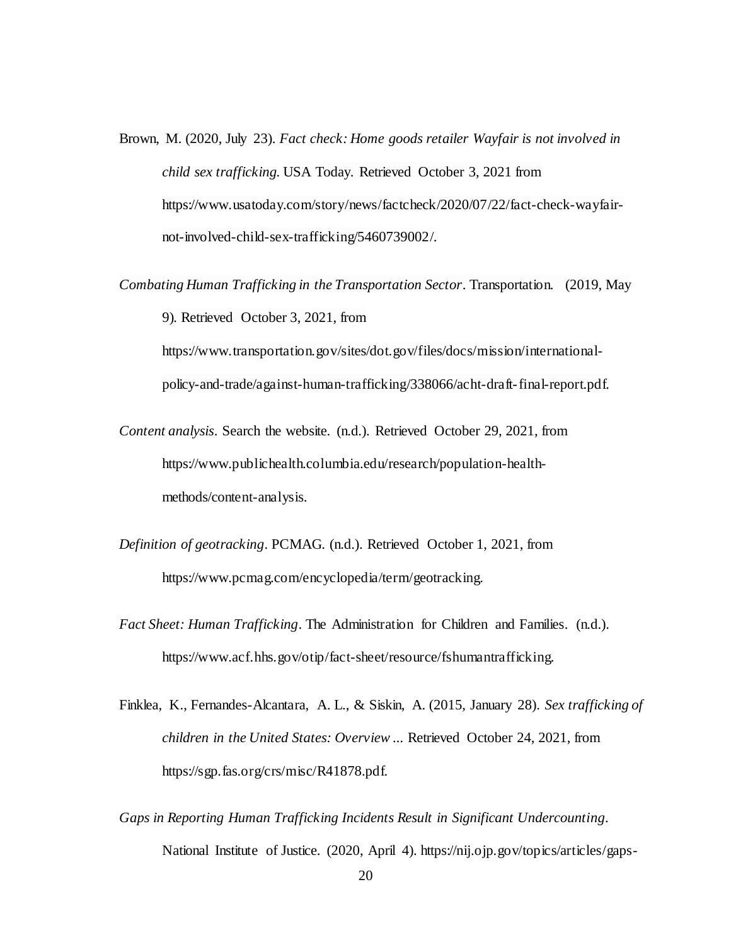- Brown, M. (2020, July 23). *Fact check: Home goods retailer Wayfair is not involved in child sex trafficking.* USA Today. Retrieved October 3, 2021 from https://www.usatoday.com/story/news/factcheck/2020/07/22/fact-check-wayfairnot-involved-child-sex-trafficking/5460739002/.
- *Combating Human Trafficking in the Transportation Sector*. Transportation. (2019, May 9)*.* Retrieved October 3, 2021, from https://www.transportation.gov/sites/dot.gov/files/docs/mission/international-

policy-and-trade/against-human-trafficking/338066/acht-draft-final-report.pdf.

- *Content analysis*. Search the website. (n.d.). Retrieved October 29, 2021, from https://www.publichealth.columbia.edu/research/population-healthmethods/content-analysis.
- *Definition of geotracking*. PCMAG. (n.d.). Retrieved October 1, 2021, from https://www.pcmag.com/encyclopedia/term/geotracking.
- *Fact Sheet: Human Trafficking*. The Administration for Children and Families. (n.d.). https://www.acf.hhs.gov/otip/fact-sheet/resource/fshumantrafficking.
- Finklea, K., Fernandes-Alcantara, A. L., & Siskin, A. (2015, January 28). *Sex trafficking of children in the United States: Overview ...* Retrieved October 24, 2021, from https://sgp.fas.org/crs/misc/R41878.pdf.
- *Gaps in Reporting Human Trafficking Incidents Result in Significant Undercounting*. National Institute of Justice. (2020, April 4). https://nij.ojp.gov/topics/articles/gaps-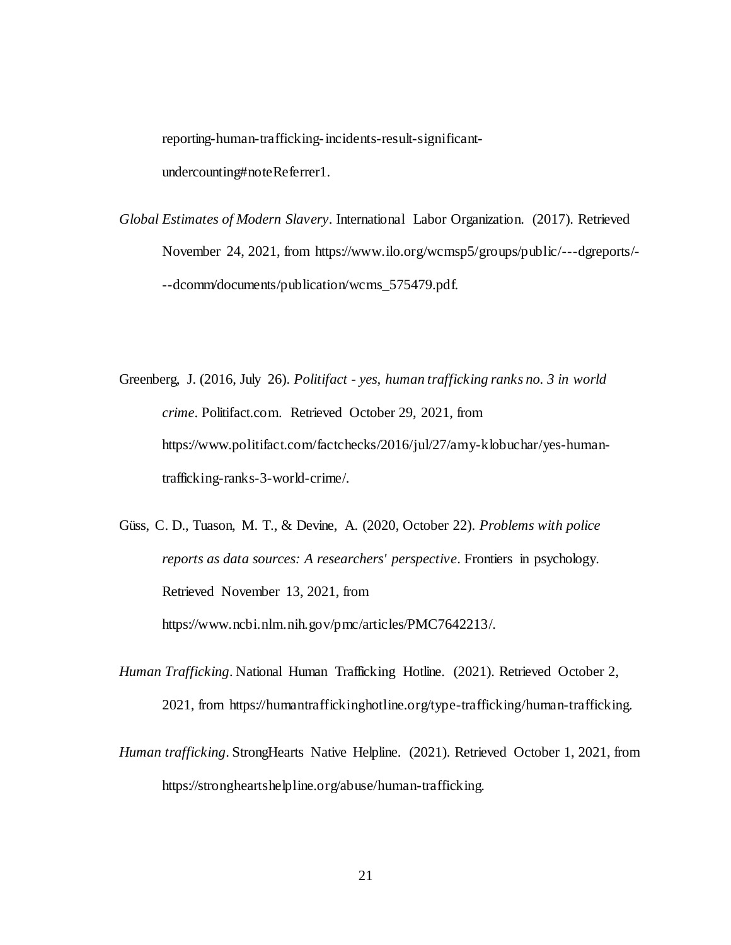reporting-human-trafficking-incidents-result-significantundercounting#noteReferrer1.

- *Global Estimates of Modern Slavery*. International Labor Organization. (2017). Retrieved November 24, 2021, from https://www.ilo.org/wcmsp5/groups/public/---dgreports/- --dcomm/documents/publication/wcms\_575479.pdf.
- Greenberg, J. (2016, July 26). *Politifact - yes, human trafficking ranks no. 3 in world crime*. Politifact.com. Retrieved October 29, 2021, from https://www.politifact.com/factchecks/2016/jul/27/amy-klobuchar/yes-humantrafficking-ranks-3-world-crime/.
- Güss, C. D., Tuason, M. T., & Devine, A. (2020, October 22). *Problems with police reports as data sources: A researchers' perspective*. Frontiers in psychology. Retrieved November 13, 2021, from https://www.ncbi.nlm.nih.gov/pmc/articles/PMC7642213/.
- *Human Trafficking*. National Human Trafficking Hotline. (2021). Retrieved October 2, 2021, from https://humantraffickinghotline.org/type-trafficking/human-trafficking.
- *Human trafficking*. StrongHearts Native Helpline. (2021). Retrieved October 1, 2021, from https://strongheartshelpline.org/abuse/human-trafficking.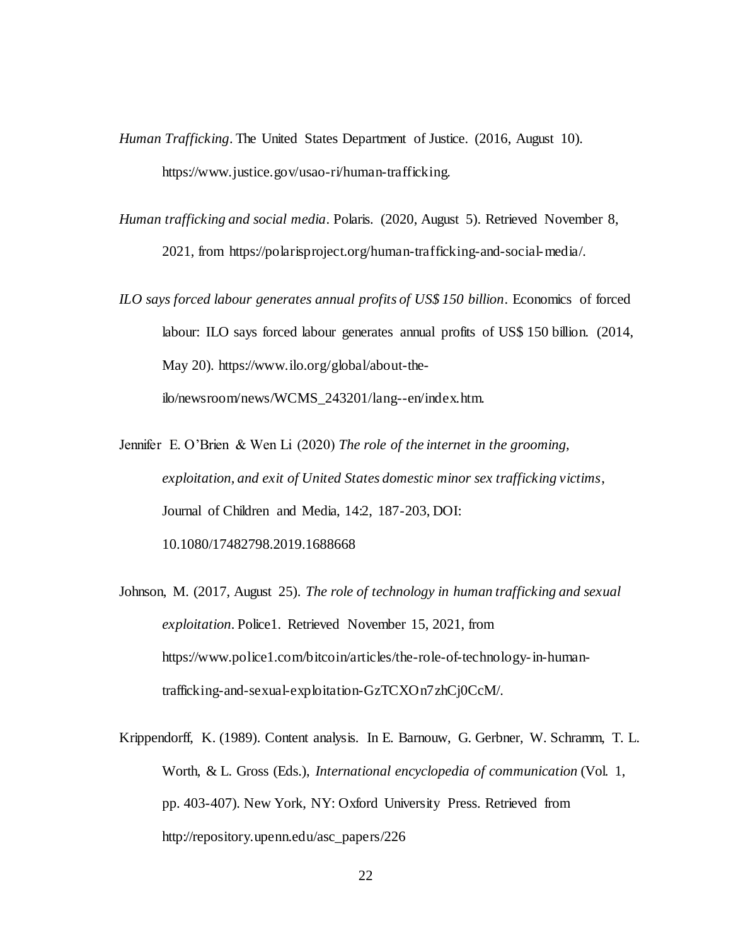- *Human Trafficking*. The United States Department of Justice. (2016, August 10). https://www.justice.gov/usao-ri/human-trafficking.
- *Human trafficking and social media*. Polaris. (2020, August 5). Retrieved November 8, 2021, from https://polarisproject.org/human-trafficking-and-social-media/.
- *ILO says forced labour generates annual profits of US\$ 150 billion*. Economics of forced labour: ILO says forced labour generates annual profits of US\$ 150 billion. (2014, May 20). https://www.ilo.org/global/about-theilo/newsroom/news/WCMS\_243201/lang--en/index.htm.
- Jennifer E. O'Brien & Wen Li (2020) *The role of the internet in the grooming, exploitation, and exit of United States domestic minor sex trafficking victims*, Journal of Children and Media, 14:2, 187-203, DOI: 10.1080/17482798.2019.1688668
- Johnson, M. (2017, August 25). *The role of technology in human trafficking and sexual exploitation*. Police1. Retrieved November 15, 2021, from https://www.police1.com/bitcoin/articles/the-role-of-technology-in-humantrafficking-and-sexual-exploitation-GzTCXOn7zhCj0CcM/.
- Krippendorff, K. (1989). Content analysis. In E. Barnouw, G. Gerbner, W. Schramm, T. L. Worth, & L. Gross (Eds.), *International encyclopedia of communication* (Vol. 1, pp. 403-407). New York, NY: Oxford University Press. Retrieved from http://repository.upenn.edu/asc\_papers/226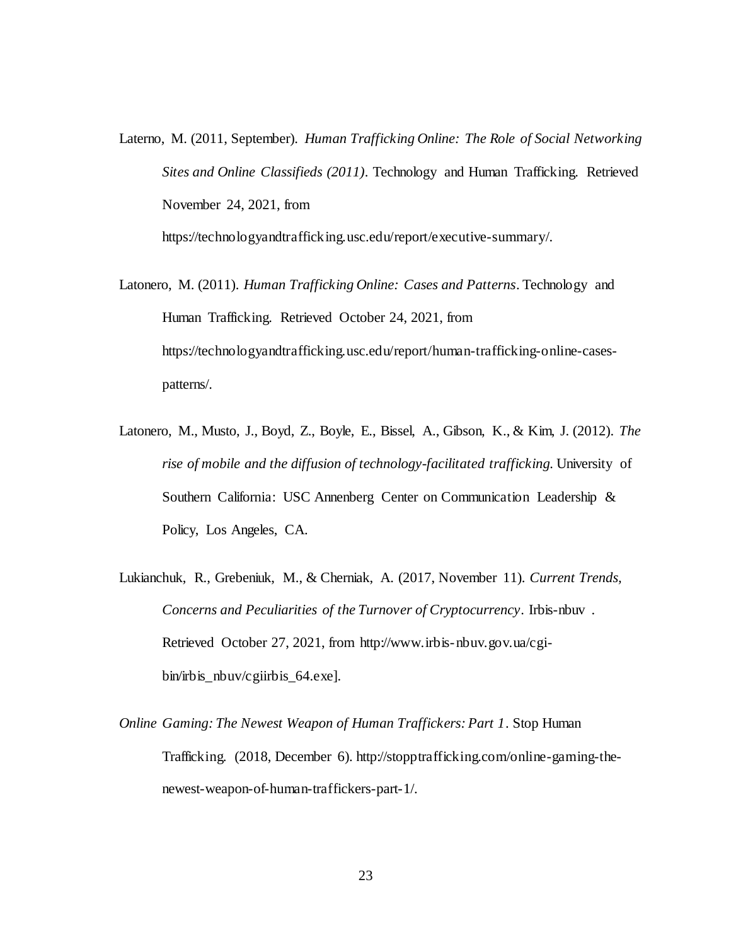Laterno, M. (2011, September). *Human Trafficking Online: The Role of Social Networking Sites and Online Classifieds (2011)*. Technology and Human Trafficking. Retrieved November 24, 2021, from

https://technologyandtrafficking.usc.edu/report/executive-summary/.

- Latonero, M. (2011). *Human Trafficking Online: Cases and Patterns*. Technology and Human Trafficking. Retrieved October 24, 2021, from https://technologyandtrafficking.usc.edu/report/human-trafficking-online-casespatterns/.
- Latonero, M., Musto, J., Boyd, Z., Boyle, E., Bissel, A., Gibson, K., & Kim, J. (2012). *The rise of mobile and the diffusion of technology-facilitated trafficking.* University of Southern California: USC Annenberg Center on Communication Leadership & Policy, Los Angeles, CA.
- Lukianchuk, R., Grebeniuk, M., & Cherniak, A. (2017, November 11). *Current Trends, Concerns and Peculiarities of the Turnover of Cryptocurrency*. Irbis-nbuv . Retrieved October 27, 2021, from http://www.irbis-nbuv.gov.ua/cgibin/irbis\_nbuv/cgiirbis\_64.exe].
- *Online Gaming: The Newest Weapon of Human Traffickers: Part 1*. Stop Human Trafficking. (2018, December 6). http://stopptrafficking.com/online-gaming-thenewest-weapon-of-human-traffickers-part-1/.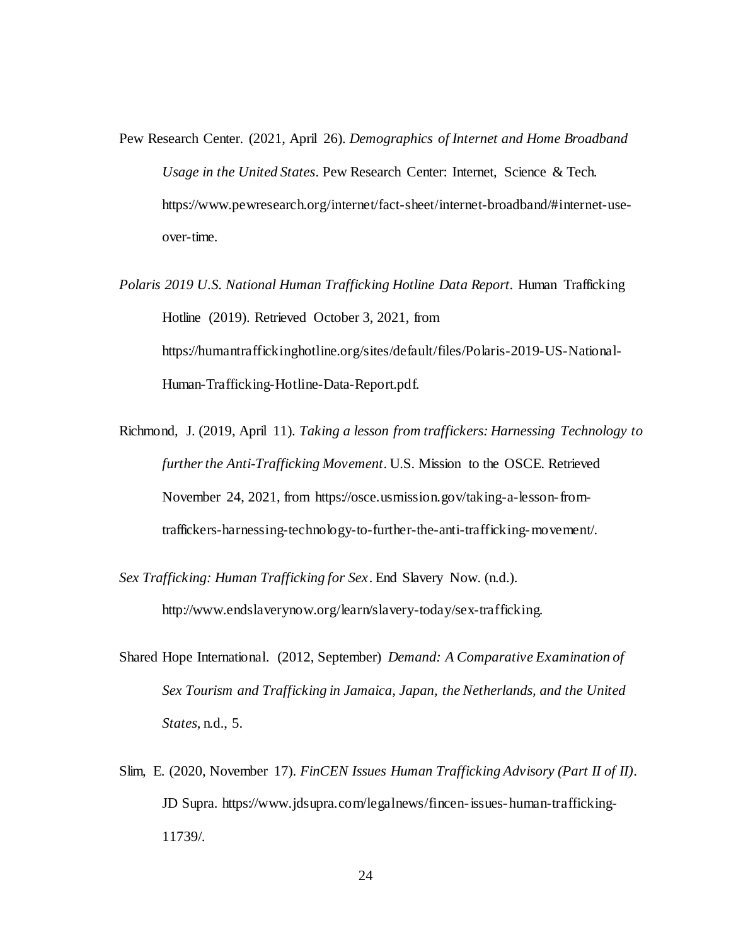- Pew Research Center. (2021, April 26). *Demographics of Internet and Home Broadband Usage in the United States*. Pew Research Center: Internet, Science & Tech. https://www.pewresearch.org/internet/fact-sheet/internet-broadband/#internet-useover-time.
- *Polaris 2019 U.S. National Human Trafficking Hotline Data Report.* Human Trafficking Hotline (2019). Retrieved October 3, 2021, from https://humantraffickinghotline.org/sites/default/files/Polaris-2019-US-National-Human-Trafficking-Hotline-Data-Report.pdf.
- Richmond, J. (2019, April 11). *Taking a lesson from traffickers: Harnessing Technology to further the Anti-Trafficking Movement*. U.S. Mission to the OSCE. Retrieved November 24, 2021, from https://osce.usmission.gov/taking-a-lesson-fromtraffickers-harnessing-technology-to-further-the-anti-trafficking-movement/.
- *Sex Trafficking: Human Trafficking for Sex*. End Slavery Now. (n.d.). http://www.endslaverynow.org/learn/slavery-today/sex-trafficking.
- Shared Hope International. (2012, September) *Demand: A Comparative Examination of Sex Tourism and Trafficking in Jamaica, Japan, the Netherlands, and the United States*, n.d., 5.
- Slim, E. (2020, November 17). *FinCEN Issues Human Trafficking Advisory (Part II of II)*. JD Supra. https://www.jdsupra.com/legalnews/fincen-issues-human-trafficking-11739/.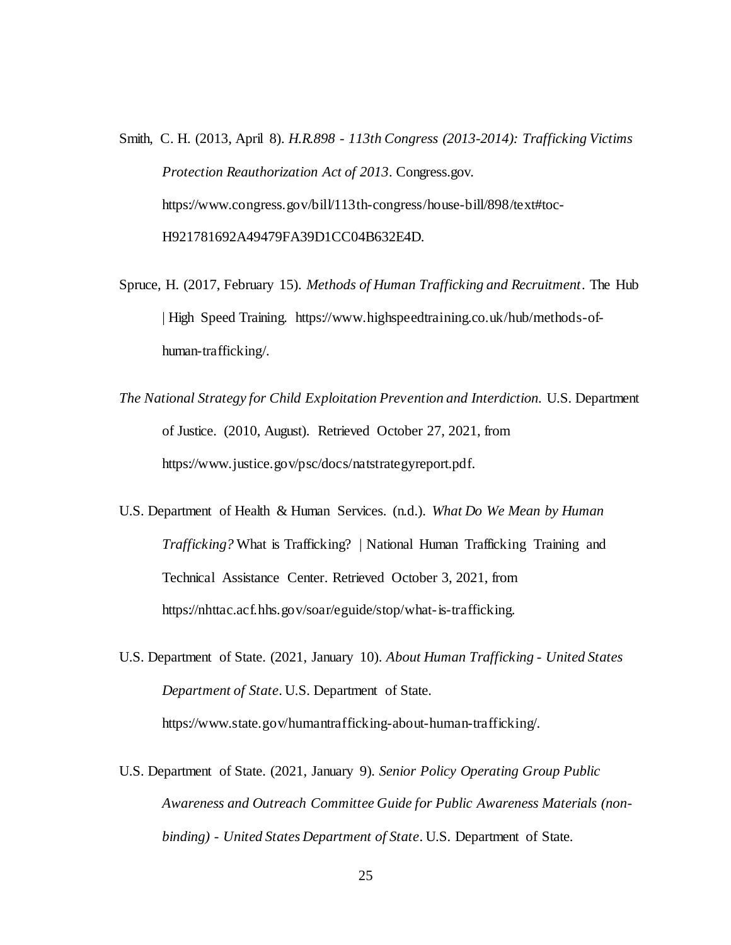Smith, C. H. (2013, April 8). *H.R.898 - 113th Congress (2013-2014): Trafficking Victims Protection Reauthorization Act of 2013*. Congress.gov. https://www.congress.gov/bill/113th-congress/house-bill/898/text#toc-H921781692A49479FA39D1CC04B632E4D.

- Spruce, H. (2017, February 15). *Methods of Human Trafficking and Recruitment*. The Hub | High Speed Training. https://www.highspeedtraining.co.uk/hub/methods-ofhuman-trafficking/.
- *The National Strategy for Child Exploitation Prevention and Interdiction.* U.S. Department of Justice. (2010, August). Retrieved October 27, 2021, from https://www.justice.gov/psc/docs/natstrategyreport.pdf.
- U.S. Department of Health & Human Services. (n.d.). *What Do We Mean by Human Trafficking?* What is Trafficking? | National Human Trafficking Training and Technical Assistance Center. Retrieved October 3, 2021, from https://nhttac.acf.hhs.gov/soar/eguide/stop/what-is-trafficking.
- U.S. Department of State. (2021, January 10). *About Human Trafficking - United States Department of State*. U.S. Department of State. https://www.state.gov/humantrafficking-about-human-trafficking/.
- U.S. Department of State. (2021, January 9). *Senior Policy Operating Group Public Awareness and Outreach Committee Guide for Public Awareness Materials (nonbinding) - United States Department of State*. U.S. Department of State.